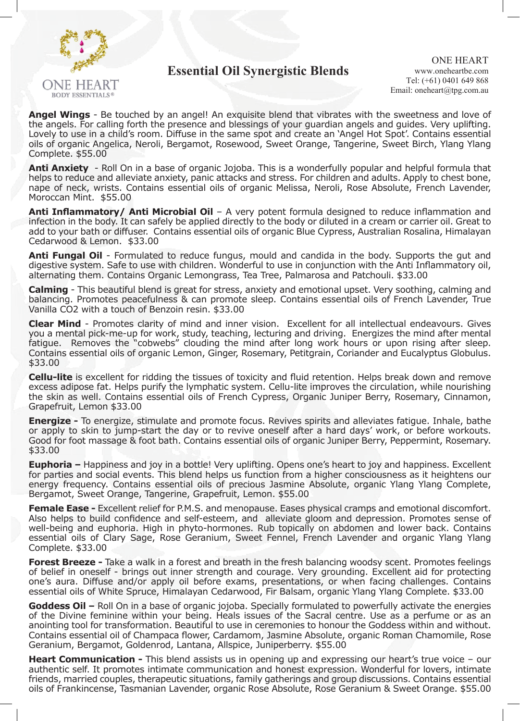

## **Essential Oil Synergistic Blends**

**Angel Wings** - Be touched by an angel! An exquisite blend that vibrates with the sweetness and love of the angels. For calling forth the presence and blessings of your guardian angels and guides. Very uplifting. Lovely to use in a child's room. Diffuse in the same spot and create an 'Angel Hot Spot'. Contains essential oils of organic Angelica, Neroli, Bergamot, Rosewood, Sweet Orange, Tangerine, Sweet Birch, Ylang Ylang Complete. \$55.00

**Anti Anxiety** - Roll On in a base of organic Jojoba. This is a wonderfully popular and helpful formula that helps to reduce and alleviate anxiety, panic attacks and stress. For children and adults. Apply to chest bone, nape of neck, wrists. Contains essential oils of organic Melissa, Neroli, Rose Absolute, French Lavender, Moroccan Mint. \$55.00

**Anti Inflammatory/ Anti Microbial Oil** – A very potent formula designed to reduce inflammation and infection in the body. It can safely be applied directly to the body or diluted in a cream or carrier oil. Great to add to your bath or diffuser. Contains essential oils of organic Blue Cypress, Australian Rosalina, Himalayan Cedarwood & Lemon. \$33.00

**Anti Fungal Oil** - Formulated to reduce fungus, mould and candida in the body. Supports the gut and digestive system. Safe to use with children. Wonderful to use in conjunction with the Anti Inflammatory oil, alternating them. Contains Organic Lemongrass, Tea Tree, Palmarosa and Patchouli. \$33.00

**Calming** - This beautiful blend is great for stress, anxiety and emotional upset. Very soothing, calming and balancing. Promotes peacefulness & can promote sleep. Contains essential oils of French Lavender, True Vanilla CO2 with a touch of Benzoin resin. \$33.00

**Clear Mind** - Promotes clarity of mind and inner vision. Excellent for all intellectual endeavours. Gives you a mental pick-me-up for work, study, teaching, lecturing and driving. Energizes the mind after mental fatigue. Removes the "cobwebs" clouding the mind after long work hours or upon rising after sleep. Contains essential oils of organic Lemon, Ginger, Rosemary, Petitgrain, Coriander and Eucalyptus Globulus. \$33.00

**Cellu-lite** is excellent for ridding the tissues of toxicity and fluid retention. Helps break down and remove excess adipose fat. Helps purify the lymphatic system. Cellu-lite improves the circulation, while nourishing the skin as well. Contains essential oils of French Cypress, Organic Juniper Berry, Rosemary, Cinnamon, Grapefruit, Lemon \$33.00

**Energize -** To energize, stimulate and promote focus. Revives spirits and alleviates fatigue. Inhale, bathe or apply to skin to jump-start the day or to revive oneself after a hard days' work, or before workouts. Good for foot massage & foot bath. Contains essential oils of organic Juniper Berry, Peppermint, Rosemary. \$33.00

**Euphoria** – Happiness and joy in a bottle! Very uplifting. Opens one's heart to joy and happiness. Excellent for parties and social events. This blend helps us function from a higher consciousness as it heightens our energy frequency. Contains essential oils of precious Jasmine Absolute, organic Ylang Ylang Complete, Bergamot, Sweet Orange, Tangerine, Grapefruit, Lemon. \$55.00

**Female Ease -** Excellent relief for P.M.S. and menopause. Eases physical cramps and emotional discomfort. Also helps to build confidence and self-esteem, and alleviate gloom and depression. Promotes sense of well-being and euphoria. High in phyto-hormones. Rub topically on abdomen and lower back. Contains essential oils of Clary Sage, Rose Geranium, Sweet Fennel, French Lavender and organic Ylang Ylang Complete. \$33.00

**Forest Breeze -** Take a walk in a forest and breath in the fresh balancing woodsy scent. Promotes feelings of belief in oneself - brings out inner strength and courage. Very grounding. Excellent aid for protecting one's aura. Diffuse and/or apply oil before exams, presentations, or when facing challenges. Contains essential oils of White Spruce, Himalayan Cedarwood, Fir Balsam, organic Ylang Ylang Complete. \$33.00

**Goddess Oil –** Roll On in a base of organic jojoba. Specially formulated to powerfully activate the energies of the Divine feminine within your being. Heals issues of the Sacral centre. Use as a perfume or as an anointing tool for transformation. Beautiful to use in ceremonies to honour the Goddess within and without. Contains essential oil of Champaca flower, Cardamom, Jasmine Absolute, organic Roman Chamomile, Rose Geranium, Bergamot, Goldenrod, Lantana, Allspice, Juniperberry. \$55.00

**Heart Communication -** This blend assists us in opening up and expressing our heart's true voice – our authentic self. It promotes intimate communication and honest expression. Wonderful for lovers, intimate friends, married couples, therapeutic situations, family gatherings and group discussions. Contains essential oils of Frankincense, Tasmanian Lavender, organic Rose Absolute, Rose Geranium & Sweet Orange. \$55.00